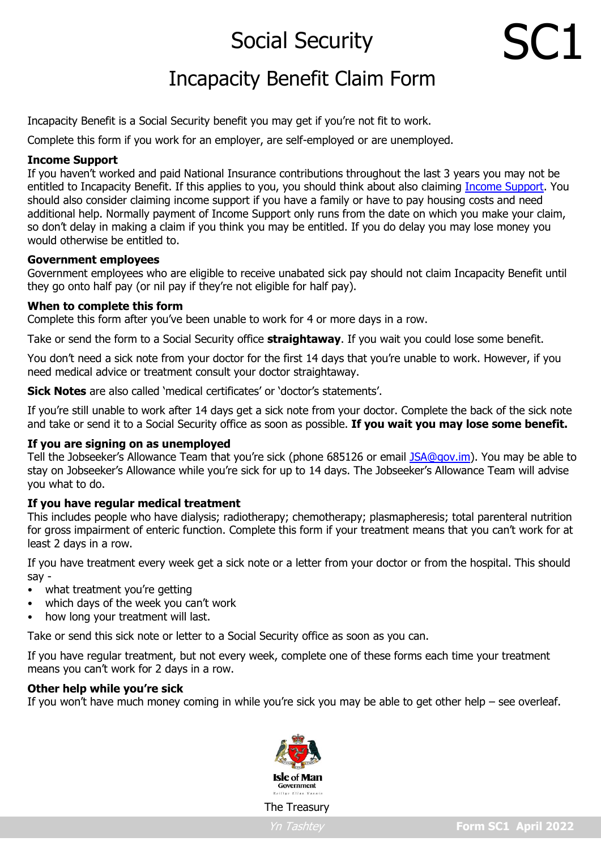# Social Security

# Incapacity Benefit Claim Form

Incapacity Benefit is a Social Security benefit you may get if you're not fit to work.

Complete this form if you work for an employer, are self-employed or are unemployed.

# **Income Support**

If you haven't worked and paid National Insurance contributions throughout the last 3 years you may not be entitled to Incapacity Benefit. If this applies to you, you should think about also claiming [Income Support.](https://www.gov.im/categories/benefits-and-financial-support/illness-and-disabilities/income-support/) You should also consider claiming income support if you have a family or have to pay housing costs and need additional help. Normally payment of Income Support only runs from the date on which you make your claim, so don't delay in making a claim if you think you may be entitled. If you do delay you may lose money you would otherwise be entitled to.

# **Government employees**

Government employees who are eligible to receive unabated sick pay should not claim Incapacity Benefit until they go onto half pay (or nil pay if they're not eligible for half pay).

# **When to complete this form**

Complete this form after you've been unable to work for 4 or more days in a row.

Take or send the form to a Social Security office **straightaway**. If you wait you could lose some benefit.

You don't need a sick note from your doctor for the first 14 days that you're unable to work. However, if you need medical advice or treatment consult your doctor straightaway.

**Sick Notes** are also called 'medical certificates' or 'doctor's statements'.

If you're still unable to work after 14 days get a sick note from your doctor. Complete the back of the sick note and take or send it to a Social Security office as soon as possible. **If you wait you may lose some benefit.**

# **If you are signing on as unemployed**

Tell the Jobseeker's Allowance Team that you're sick (phone 685126 or email [JSA@gov.im\)](mailto:JSA@gov.im). You may be able to stay on Jobseeker's Allowance while you're sick for up to 14 days. The Jobseeker's Allowance Team will advise you what to do.

# **If you have regular medical treatment**

This includes people who have dialysis; radiotherapy; chemotherapy; plasmapheresis; total parenteral nutrition for gross impairment of enteric function. Complete this form if your treatment means that you can't work for at least 2 days in a row.

If you have treatment every week get a sick note or a letter from your doctor or from the hospital. This should say -

- what treatment you're getting
- which days of the week you can't work
- how long your treatment will last.

Take or send this sick note or letter to a Social Security office as soon as you can.

If you have regular treatment, but not every week, complete one of these forms each time your treatment means you can't work for 2 days in a row.

# **Other help while you're sick**

If you won't have much money coming in while you're sick you may be able to get other help – see overleaf.



The Treasury

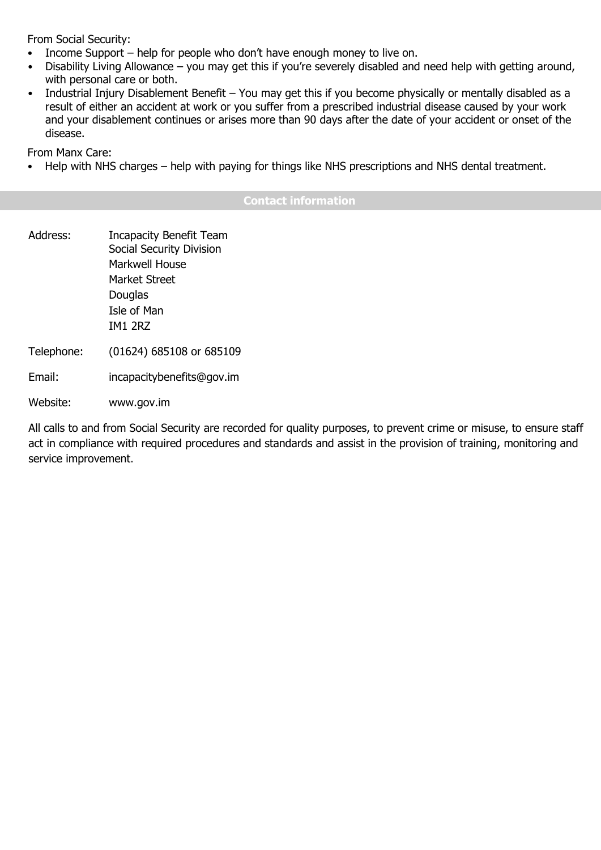From Social Security:

- Income Support help for people who don't have enough money to live on.
- Disability Living Allowance you may get this if you're severely disabled and need help with getting around, with personal care or both.
- Industrial Injury Disablement Benefit You may get this if you become physically or mentally disabled as a result of either an accident at work or you suffer from a prescribed industrial disease caused by your work and your disablement continues or arises more than 90 days after the date of your accident or onset of the disease.

From Manx Care:

• Help with NHS charges – help with paying for things like NHS prescriptions and NHS dental treatment.

# **Contact information**

Address: Incapacity Benefit Team Social Security Division Markwell House Market Street Douglas Isle of Man IM1 2RZ Telephone: (01624) 685108 or 685109 Email: incapacitybenefits@gov.im

Website: www.gov.im

All calls to and from Social Security are recorded for quality purposes, to prevent crime or misuse, to ensure staff act in compliance with required procedures and standards and assist in the provision of training, monitoring and service improvement.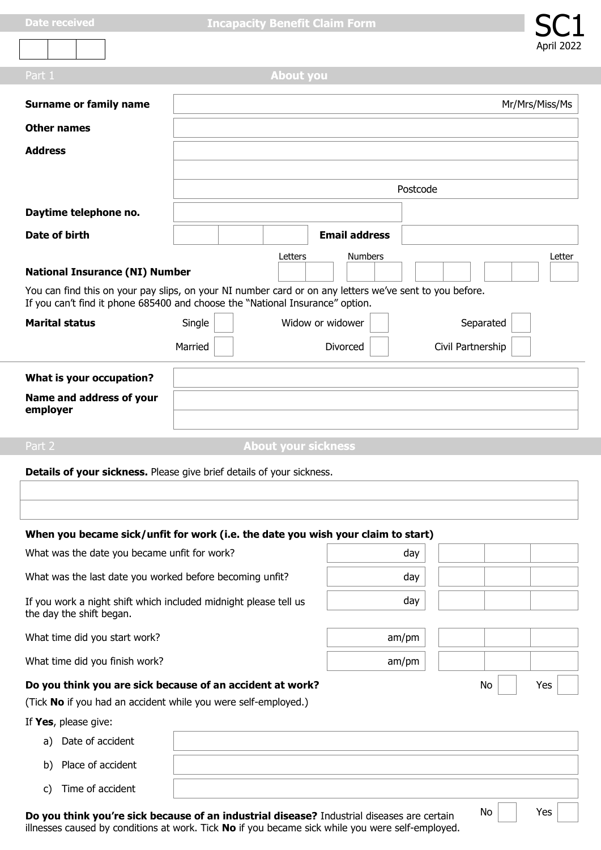b) Place of accident



|                                                                                                                                                                                          |         |                            |                      | April 2022        |  |
|------------------------------------------------------------------------------------------------------------------------------------------------------------------------------------------|---------|----------------------------|----------------------|-------------------|--|
| Part 1                                                                                                                                                                                   |         | <b>About you</b>           |                      |                   |  |
| <b>Surname or family name</b>                                                                                                                                                            |         |                            |                      | Mr/Mrs/Miss/Ms    |  |
| <b>Other names</b>                                                                                                                                                                       |         |                            |                      |                   |  |
| <b>Address</b>                                                                                                                                                                           |         |                            |                      |                   |  |
|                                                                                                                                                                                          |         |                            |                      |                   |  |
|                                                                                                                                                                                          |         |                            |                      | Postcode          |  |
| Daytime telephone no.                                                                                                                                                                    |         |                            |                      |                   |  |
| <b>Date of birth</b>                                                                                                                                                                     |         |                            | <b>Email address</b> |                   |  |
| Letters<br><b>Numbers</b><br>Letter<br><b>National Insurance (NI) Number</b>                                                                                                             |         |                            |                      |                   |  |
| You can find this on your pay slips, on your NI number card or on any letters we've sent to you before.<br>If you can't find it phone 685400 and choose the "National Insurance" option. |         |                            |                      |                   |  |
| <b>Marital status</b>                                                                                                                                                                    | Single  |                            | Widow or widower     | Separated         |  |
|                                                                                                                                                                                          | Married |                            | Divorced             | Civil Partnership |  |
| What is your occupation?                                                                                                                                                                 |         |                            |                      |                   |  |
| Name and address of your                                                                                                                                                                 |         |                            |                      |                   |  |
| employer                                                                                                                                                                                 |         |                            |                      |                   |  |
| Part 2                                                                                                                                                                                   |         | <b>About your sickness</b> |                      |                   |  |
| Details of your sickness. Please give brief details of your sickness.                                                                                                                    |         |                            |                      |                   |  |
|                                                                                                                                                                                          |         |                            |                      |                   |  |
|                                                                                                                                                                                          |         |                            |                      |                   |  |

# **When you became sick/unfit for work (i.e. the date you wish your claim to start)**

| What was the date you became unfit for work?                                                                                |  | day   |    |     |
|-----------------------------------------------------------------------------------------------------------------------------|--|-------|----|-----|
| What was the last date you worked before becoming unfit?                                                                    |  | day   |    |     |
| If you work a night shift which included midnight please tell us<br>the day the shift began.                                |  | day   |    |     |
| What time did you start work?                                                                                               |  | am/pm |    |     |
| What time did you finish work?                                                                                              |  | am/pm |    |     |
| Do you think you are sick because of an accident at work?<br>(Tick No if you had an accident while you were self-employed.) |  |       | No | Yes |
| If Yes, please give:                                                                                                        |  |       |    |     |
| a) Date of accident                                                                                                         |  |       |    |     |

c) Time of accident **Do you think you're sick because of an industrial disease?** Industrial diseases are certain illnesses caused by conditions at work. Tick **No** if you became sick while you were self-employed. No | Yes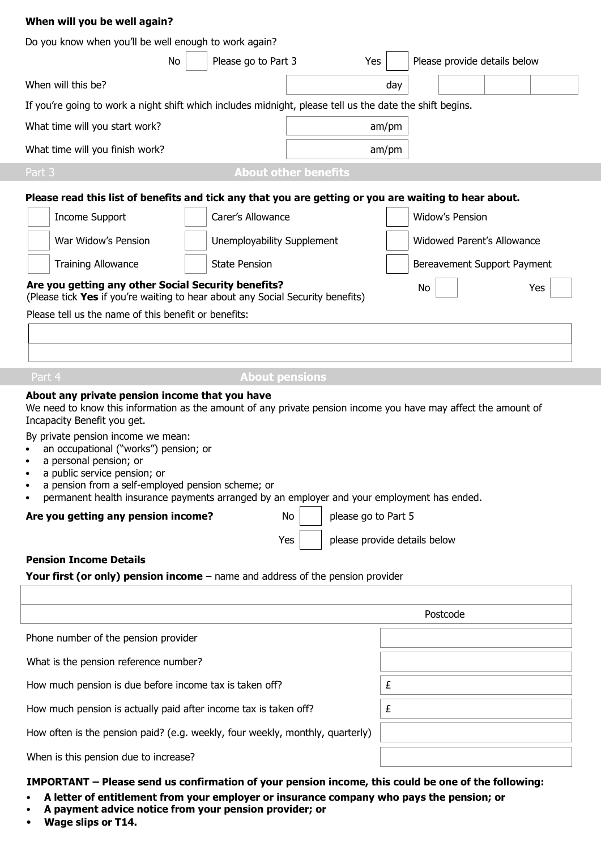## **When will you be well again?**

| Do you know when you'll be well enough to work again?                                                                                                                                           |                            |                             |                             |  |  |  |
|-------------------------------------------------------------------------------------------------------------------------------------------------------------------------------------------------|----------------------------|-----------------------------|-----------------------------|--|--|--|
| Please go to Part 3<br>Please provide details below<br><b>No</b><br>Yes                                                                                                                         |                            |                             |                             |  |  |  |
| When will this be?                                                                                                                                                                              |                            | day                         |                             |  |  |  |
| If you're going to work a night shift which includes midnight, please tell us the date the shift begins.                                                                                        |                            |                             |                             |  |  |  |
| What time will you start work?                                                                                                                                                                  | am/pm                      |                             |                             |  |  |  |
| What time will you finish work?                                                                                                                                                                 |                            | am/pm                       |                             |  |  |  |
| Part 3                                                                                                                                                                                          |                            | <b>About other benefits</b> |                             |  |  |  |
| Please read this list of benefits and tick any that you are getting or you are waiting to hear about.                                                                                           |                            |                             |                             |  |  |  |
| <b>Income Support</b>                                                                                                                                                                           | Carer's Allowance          |                             | <b>Widow's Pension</b>      |  |  |  |
| War Widow's Pension                                                                                                                                                                             | Unemployability Supplement |                             | Widowed Parent's Allowance  |  |  |  |
| <b>Training Allowance</b>                                                                                                                                                                       | <b>State Pension</b>       |                             | Bereavement Support Payment |  |  |  |
| Are you getting any other Social Security benefits?<br>No<br>Yes<br>(Please tick Yes if you're waiting to hear about any Social Security benefits)                                              |                            |                             |                             |  |  |  |
| Please tell us the name of this benefit or benefits:                                                                                                                                            |                            |                             |                             |  |  |  |
|                                                                                                                                                                                                 |                            |                             |                             |  |  |  |
|                                                                                                                                                                                                 |                            |                             |                             |  |  |  |
| Part 4                                                                                                                                                                                          | <b>About pensions</b>      |                             |                             |  |  |  |
| About any private pension income that you have<br>We need to know this information as the amount of any private pension income you have may affect the amount of<br>Incapacity Benefit you get. |                            |                             |                             |  |  |  |
| By private pension income we mean:<br>an occupational ("works") pension; or<br>a personal pension; or<br>a public service pension; or                                                           |                            |                             |                             |  |  |  |

- a pension from a self-employed pension scheme; or
- permanent health insurance payments arranged by an employer and your employment has ended.

**Are you getting any pension income?** No please go to Part 5

 $Yes |$  please provide details below

#### **Pension Income Details**

Your first (or only) pension income – name and address of the pension provider

|                                                                               | Postcode |
|-------------------------------------------------------------------------------|----------|
| Phone number of the pension provider                                          |          |
| What is the pension reference number?                                         |          |
| How much pension is due before income tax is taken off?                       | £        |
| How much pension is actually paid after income tax is taken off?              | £        |
| How often is the pension paid? (e.g. weekly, four weekly, monthly, quarterly) |          |
| When is this pension due to increase?                                         |          |

#### **IMPORTANT – Please send us confirmation of your pension income, this could be one of the following:**

- **A letter of entitlement from your employer or insurance company who pays the pension; or**
- **A payment advice notice from your pension provider; or**
- **Wage slips or T14.**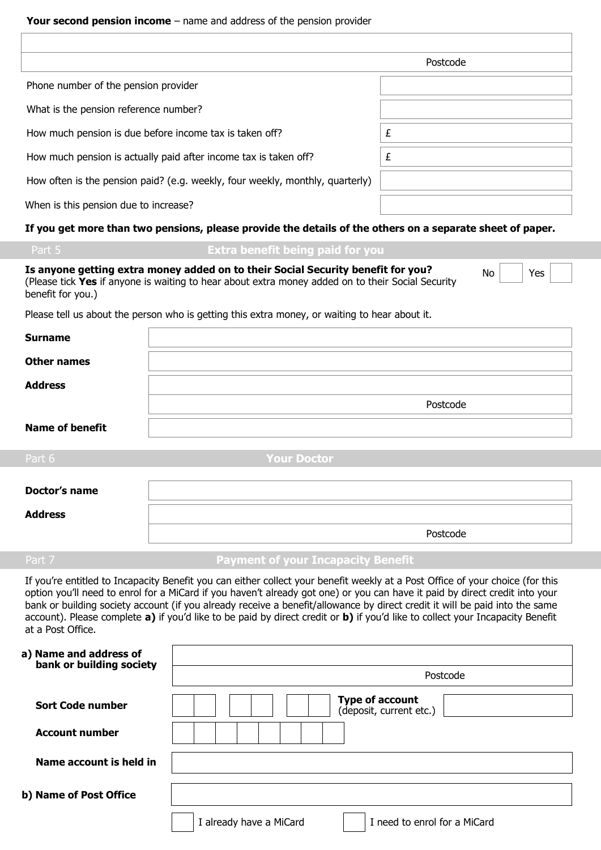|                                                                               | Postcode |
|-------------------------------------------------------------------------------|----------|
| Phone number of the pension provider                                          |          |
| What is the pension reference number?                                         |          |
| How much pension is due before income tax is taken off?                       | £        |
| How much pension is actually paid after income tax is taken off?              | £        |
| How often is the pension paid? (e.g. weekly, four weekly, monthly, quarterly) |          |
| When is this pension due to increase?                                         |          |

# **If you get more than two pensions, please provide the details of the others on a separate sheet of paper.**

# **Extra benefit being paid for you**

| Is anyone getting extra money added on to their Social Security benefit for you?                  | No <sub>1</sub> | $\top$ Yes $\lceil$ |
|---------------------------------------------------------------------------------------------------|-----------------|---------------------|
| (Please tick Yes if anyone is waiting to hear about extra money added on to their Social Security |                 |                     |
| benefit for you.)                                                                                 |                 |                     |

Please tell us about the person who is getting this extra money, or waiting to hear about it.

| <b>Surname</b>         |                    |
|------------------------|--------------------|
| <b>Other names</b>     |                    |
| <b>Address</b>         |                    |
|                        | Postcode           |
| <b>Name of benefit</b> |                    |
| Part 6                 | <b>Your Doctor</b> |
| Doctor's name          |                    |

| <b>Address</b> |          |
|----------------|----------|
|                | Postcode |

# Part 7 **Payment of your Incapacity Benefit**

If you're entitled to Incapacity Benefit you can either collect your benefit weekly at a Post Office of your choice (for this option you'll need to enrol for a MiCard if you haven't already got one) or you can have it paid by direct credit into your bank or building society account (if you already receive a benefit/allowance by direct credit it will be paid into the same account). Please complete **a)** if you'd like to be paid by direct credit or **b)** if you'd like to collect your Incapacity Benefit at a Post Office.

| a) Name and address of<br>bank or building society |                                                         |
|----------------------------------------------------|---------------------------------------------------------|
|                                                    | Postcode                                                |
| <b>Sort Code number</b>                            | <b>Type of account</b><br>(deposit, current etc.)       |
| <b>Account number</b>                              |                                                         |
| Name account is held in                            |                                                         |
| b) Name of Post Office                             |                                                         |
|                                                    | I need to enrol for a MiCard<br>I already have a MiCard |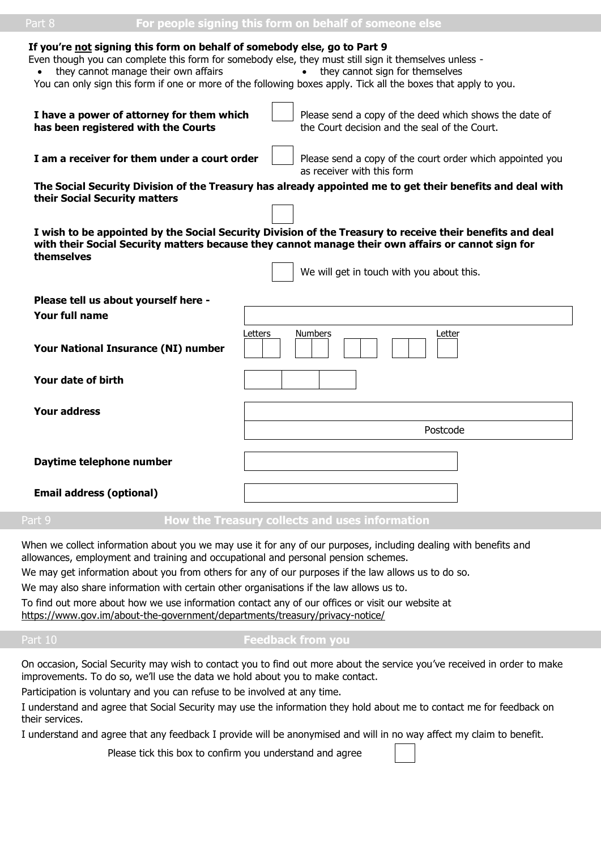#### **If you're not signing this form on behalf of somebody else, go to Part 9**

Even though you can complete this form for somebody else, they must still sign it themselves unless -

- they cannot manage their own affairs they cannot sign for themselves
- You can only sign this form if one or more of the following boxes apply. Tick all the boxes that apply to you.

| I have a power of attorney for them which<br>has been registered with the Courts | Please send a copy of the deed which shows the date of<br>the Court decision and the seal of the Court.                                                                                                                                                      |
|----------------------------------------------------------------------------------|--------------------------------------------------------------------------------------------------------------------------------------------------------------------------------------------------------------------------------------------------------------|
| I am a receiver for them under a court order                                     | Please send a copy of the court order which appointed you<br>as receiver with this form                                                                                                                                                                      |
| their Social Security matters                                                    | The Social Security Division of the Treasury has already appointed me to get their benefits and deal with                                                                                                                                                    |
| themselves                                                                       | I wish to be appointed by the Social Security Division of the Treasury to receive their benefits and deal<br>with their Social Security matters because they cannot manage their own affairs or cannot sign for<br>We will get in touch with you about this. |
| Please tell us about yourself here -                                             |                                                                                                                                                                                                                                                              |
| Your full name                                                                   |                                                                                                                                                                                                                                                              |
| Your National Insurance (NI) number                                              | Letters<br><b>Numbers</b><br>Letter                                                                                                                                                                                                                          |
| Your date of birth                                                               |                                                                                                                                                                                                                                                              |
| <b>Your address</b>                                                              |                                                                                                                                                                                                                                                              |
|                                                                                  | Postcode                                                                                                                                                                                                                                                     |
| Daytime telephone number                                                         |                                                                                                                                                                                                                                                              |
| <b>Email address (optional)</b>                                                  |                                                                                                                                                                                                                                                              |

#### Part 9 **How the Treasury collects and uses information**

When we collect information about you we may use it for any of our purposes, including dealing with benefits and allowances, employment and training and occupational and personal pension schemes.

We may get information about you from others for any of our purposes if the law allows us to do so.

We may also share information with certain other organisations if the law allows us to.

To find out more about how we use information contact any of our offices or visit our website at <https://www.gov.im/about-the-government/departments/treasury/privacy-notice/>

#### Part 10 **Feedback from you**

On occasion, Social Security may wish to contact you to find out more about the service you've received in order to make improvements. To do so, we'll use the data we hold about you to make contact.

Participation is voluntary and you can refuse to be involved at any time.

I understand and agree that Social Security may use the information they hold about me to contact me for feedback on their services.

I understand and agree that any feedback I provide will be anonymised and will in no way affect my claim to benefit.

Please tick this box to confirm you understand and agree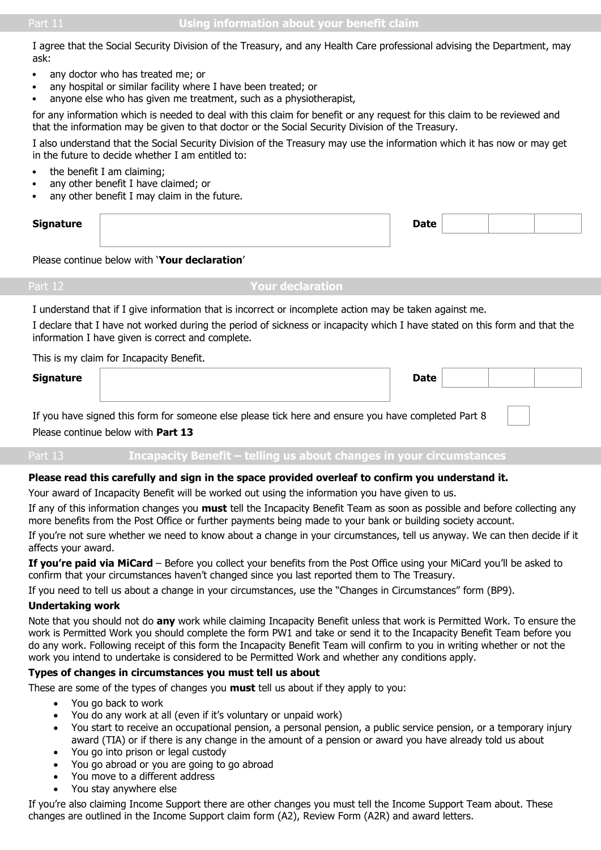I agree that the Social Security Division of the Treasury, and any Health Care professional advising the Department, may ask:

- any doctor who has treated me; or
- any hospital or similar facility where I have been treated; or
- anyone else who has given me treatment, such as a physiotherapist,

for any information which is needed to deal with this claim for benefit or any request for this claim to be reviewed and that the information may be given to that doctor or the Social Security Division of the Treasury.

I also understand that the Social Security Division of the Treasury may use the information which it has now or may get in the future to decide whether I am entitled to:

- the benefit I am claiming;
- any other benefit I have claimed; or
- any other benefit I may claim in the future.

| <b>Signature</b> | nato |  |  |
|------------------|------|--|--|
|                  |      |  |  |

### Please continue below with '**Your declaration**'

**Your declaration** 

I understand that if I give information that is incorrect or incomplete action may be taken against me.

I declare that I have not worked during the period of sickness or incapacity which I have stated on this form and that the information I have given is correct and complete.

This is my claim for Incapacity Benefit.

| <b>Signature</b> | <b>Date</b> |  |  |
|------------------|-------------|--|--|
|                  |             |  |  |

If you have signed this form for someone else please tick here and ensure you have completed Part 8 Please continue below with **Part 13**

| . | Incapacity Benefit – telling us about changes in your circumstances |  |  |
|---|---------------------------------------------------------------------|--|--|
|   |                                                                     |  |  |

#### **Please read this carefully and sign in the space provided overleaf to confirm you understand it.**

Your award of Incapacity Benefit will be worked out using the information you have given to us.

If any of this information changes you **must** tell the Incapacity Benefit Team as soon as possible and before collecting any more benefits from the Post Office or further payments being made to your bank or building society account.

If you're not sure whether we need to know about a change in your circumstances, tell us anyway. We can then decide if it affects your award.

**If you're paid via MiCard** – Before you collect your benefits from the Post Office using your MiCard you'll be asked to confirm that your circumstances haven't changed since you last reported them to The Treasury.

If you need to tell us about a change in your circumstances, use the "Changes in Circumstances" form (BP9).

# **Undertaking work**

Note that you should not do **any** work while claiming Incapacity Benefit unless that work is Permitted Work. To ensure the work is Permitted Work you should complete the form PW1 and take or send it to the Incapacity Benefit Team before you do any work. Following receipt of this form the Incapacity Benefit Team will confirm to you in writing whether or not the work you intend to undertake is considered to be Permitted Work and whether any conditions apply.

# **Types of changes in circumstances you must tell us about**

These are some of the types of changes you **must** tell us about if they apply to you:

- You go back to work
- You do any work at all (even if it's voluntary or unpaid work)
- You start to receive an occupational pension, a personal pension, a public service pension, or a temporary injury award (TIA) or if there is any change in the amount of a pension or award you have already told us about
- You go into prison or legal custody
- You go abroad or you are going to go abroad
- You move to a different address
- You stay anywhere else

If you're also claiming Income Support there are other changes you must tell the Income Support Team about. These changes are outlined in the Income Support claim form (A2), Review Form (A2R) and award letters.